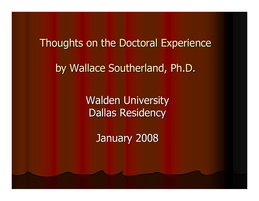# Thoughts on the Doctoral Experienceby Wallace Southerland, Ph.D.

Walden UniversityDallas Residency

January 2008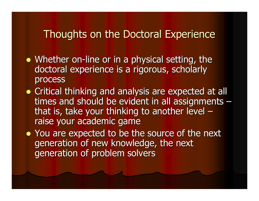- Whether on-line or in a physical setting, the doctoral experience is a rigorous, scholarly process
- Critical thinking and analysis are expected at all<br>timese and should be evident in all assistance to times and should be evident in all assignments – that is, take your thinking to another level –raise your academic game

• You are expected to be the source of the next generation of new knowledge, the next generation of problem solvers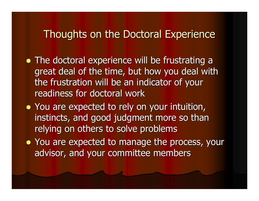- The doctoral experience will be frustrating a great deal of the time, but how you deal with the frustration will be an indicator of your readiness for doctoral work
- You are expected to rely on your intuition, instincts, and good judgment more so than relying on others to solve problems
- You are expected to manage the process, your advisor, and your committee members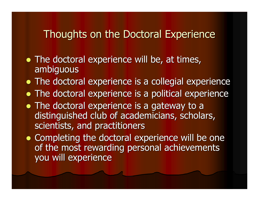- The doctoral experience will be, at times, ambiguous
- The doctoral experience is a collegial experience
- The doctoral experience is a political experience
- The doctoral experience is a gateway to a distinguished club of academicians, scholars, scientists, and practitioners
- Completing the doctoral experience will be one of the most rewarding personal achievements you will experience